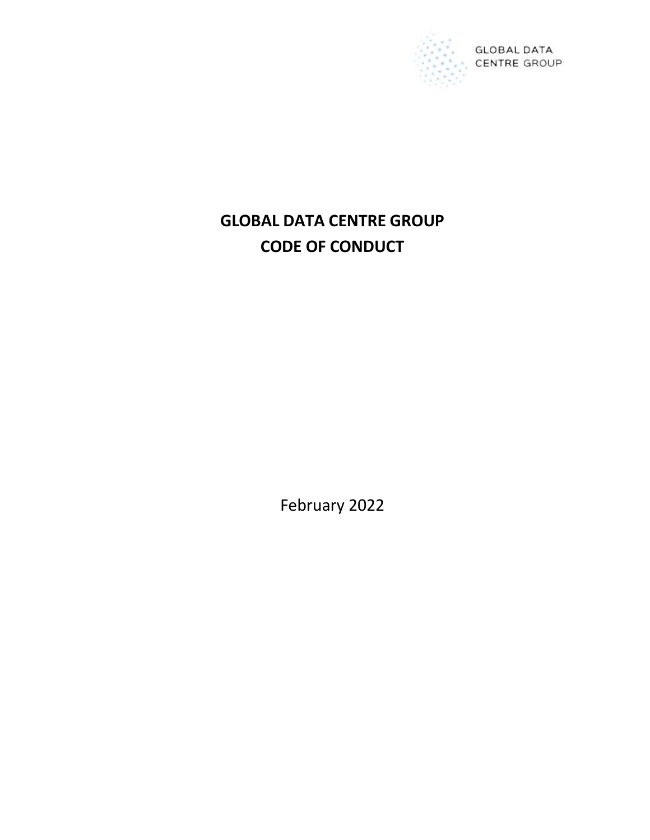

# GLOBAL DATA CENTRE GROUP CODE OF CONDUCT

February 2022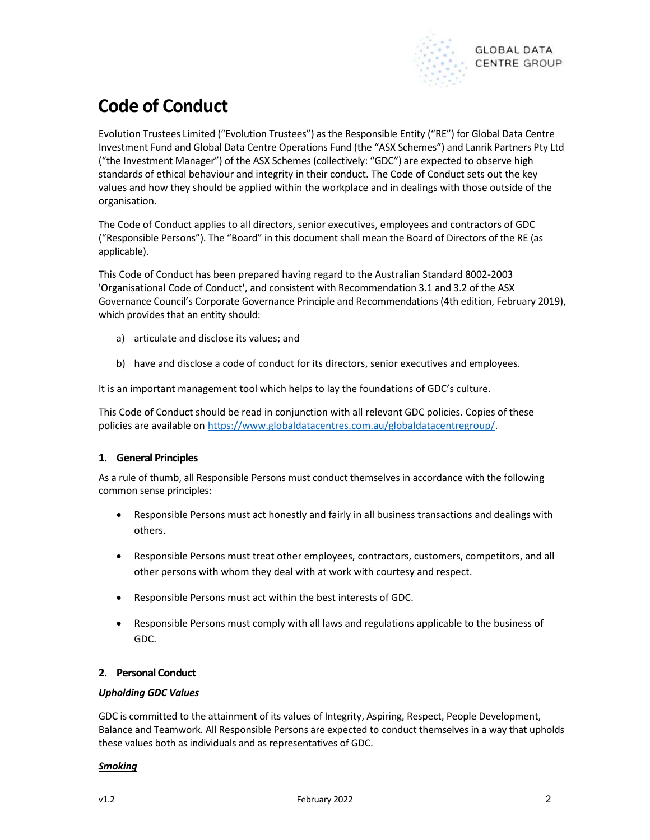

## Code of Conduct

Evolution Trustees Limited ("Evolution Trustees") as the Responsible Entity ("RE") for Global Data Centre Investment Fund and Global Data Centre Operations Fund (the "ASX Schemes") and Lanrik Partners Pty Ltd ("the Investment Manager") of the ASX Schemes (collectively: "GDC") are expected to observe high standards of ethical behaviour and integrity in their conduct. The Code of Conduct sets out the key values and how they should be applied within the workplace and in dealings with those outside of the organisation.

The Code of Conduct applies to all directors, senior executives, employees and contractors of GDC ("Responsible Persons"). The "Board" in this document shall mean the Board of Directors of the RE (as applicable).

This Code of Conduct has been prepared having regard to the Australian Standard 8002-2003 'Organisational Code of Conduct', and consistent with Recommendation 3.1 and 3.2 of the ASX Governance Council's Corporate Governance Principle and Recommendations (4th edition, February 2019), which provides that an entity should:

- a) articulate and disclose its values; and
- b) have and disclose a code of conduct for its directors, senior executives and employees.

It is an important management tool which helps to lay the foundations of GDC's culture.

This Code of Conduct should be read in conjunction with all relevant GDC policies. Copies of these policies are available on https://www.globaldatacentres.com.au/globaldatacentregroup/.

## 1. General Principles

As a rule of thumb, all Responsible Persons must conduct themselves in accordance with the following common sense principles:

- Responsible Persons must act honestly and fairly in all business transactions and dealings with others.
- Responsible Persons must treat other employees, contractors, customers, competitors, and all other persons with whom they deal with at work with courtesy and respect.
- Responsible Persons must act within the best interests of GDC.
- Responsible Persons must comply with all laws and regulations applicable to the business of GDC.

## 2. Personal Conduct

## Upholding GDC Values

GDC is committed to the attainment of its values of Integrity, Aspiring, Respect, People Development, Balance and Teamwork. All Responsible Persons are expected to conduct themselves in a way that upholds these values both as individuals and as representatives of GDC.

#### Smoking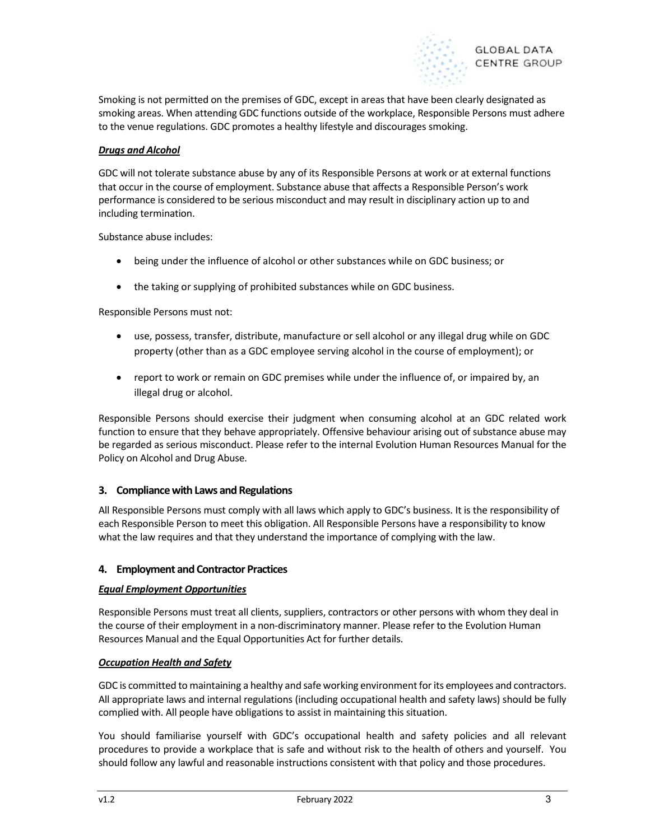

Smoking is not permitted on the premises of GDC, except in areas that have been clearly designated as smoking areas. When attending GDC functions outside of the workplace, Responsible Persons must adhere to the venue regulations. GDC promotes a healthy lifestyle and discourages smoking.

## Drugs and Alcohol

GDC will not tolerate substance abuse by any of its Responsible Persons at work or at external functions that occur in the course of employment. Substance abuse that affects a Responsible Person's work performance is considered to be serious misconduct and may result in disciplinary action up to and including termination.

Substance abuse includes:

- being under the influence of alcohol or other substances while on GDC business; or
- the taking or supplying of prohibited substances while on GDC business.

Responsible Persons must not:

- use, possess, transfer, distribute, manufacture or sell alcohol or any illegal drug while on GDC property (other than as a GDC employee serving alcohol in the course of employment); or
- report to work or remain on GDC premises while under the influence of, or impaired by, an illegal drug or alcohol.

Responsible Persons should exercise their judgment when consuming alcohol at an GDC related work function to ensure that they behave appropriately. Offensive behaviour arising out of substance abuse may be regarded as serious misconduct. Please refer to the internal Evolution Human Resources Manual for the Policy on Alcohol and Drug Abuse.

## 3. Compliance with Laws and Regulations

All Responsible Persons must comply with all laws which apply to GDC's business. It is the responsibility of each Responsible Person to meet this obligation. All Responsible Persons have a responsibility to know what the law requires and that they understand the importance of complying with the law.

## 4. Employment and Contractor Practices

## Equal Employment Opportunities

Responsible Persons must treat all clients, suppliers, contractors or other persons with whom they deal in the course of their employment in a non-discriminatory manner. Please refer to the Evolution Human Resources Manual and the Equal Opportunities Act for further details.

## **Occupation Health and Safety**

GDC is committed to maintaining a healthy and safe working environment for its employees and contractors. All appropriate laws and internal regulations (including occupational health and safety laws) should be fully complied with. All people have obligations to assist in maintaining this situation.

You should familiarise yourself with GDC's occupational health and safety policies and all relevant procedures to provide a workplace that is safe and without risk to the health of others and yourself. You should follow any lawful and reasonable instructions consistent with that policy and those procedures.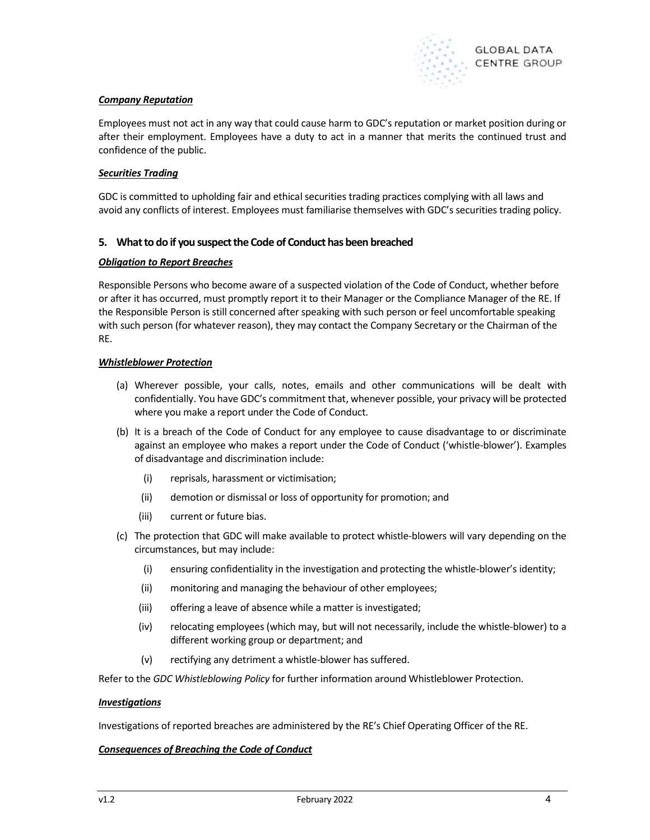

## Company Reputation

Employees must not act in any way that could cause harm to GDC's reputation or market position during or after their employment. Employees have a duty to act in a manner that merits the continued trust and confidence of the public.

## Securities Trading

GDC is committed to upholding fair and ethical securities trading practices complying with all laws and avoid any conflicts of interest. Employees must familiarise themselves with GDC's securities trading policy.

## 5. What to do if you suspect the Code of Conduct has been breached

#### Obligation to Report Breaches

Responsible Persons who become aware of a suspected violation of the Code of Conduct, whether before or after it has occurred, must promptly report it to their Manager or the Compliance Manager of the RE. If the Responsible Person is still concerned after speaking with such person or feel uncomfortable speaking with such person (for whatever reason), they may contact the Company Secretary or the Chairman of the RE.

## Whistleblower Protection

- (a) Wherever possible, your calls, notes, emails and other communications will be dealt with confidentially. You have GDC's commitment that, whenever possible, your privacy will be protected where you make a report under the Code of Conduct.
- (b) It is a breach of the Code of Conduct for any employee to cause disadvantage to or discriminate against an employee who makes a report under the Code of Conduct ('whistle-blower'). Examples of disadvantage and discrimination include:
	- (i) reprisals, harassment or victimisation;
	- (ii) demotion or dismissal or loss of opportunity for promotion; and
	- (iii) current or future bias.
- (c) The protection that GDC will make available to protect whistle-blowers will vary depending on the circumstances, but may include:
	- (i) ensuring confidentiality in the investigation and protecting the whistle-blower's identity;
	- (ii) monitoring and managing the behaviour of other employees;
	- (iii) offering a leave of absence while a matter is investigated;
	- (iv) relocating employees (which may, but will not necessarily, include the whistle-blower) to a different working group or department; and
	- (v) rectifying any detriment a whistle-blower has suffered.

Refer to the GDC Whistleblowing Policy for further information around Whistleblower Protection.

#### Investigations

Investigations of reported breaches are administered by the RE's Chief Operating Officer of the RE.

## Consequences of Breaching the Code of Conduct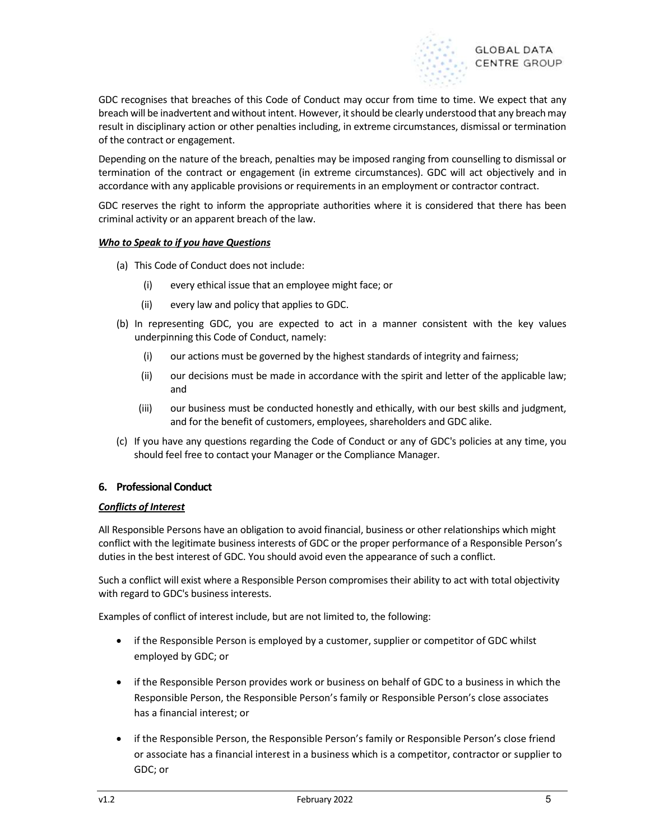

GDC recognises that breaches of this Code of Conduct may occur from time to time. We expect that any breach will be inadvertent and without intent. However, it should be clearly understood that any breach may result in disciplinary action or other penalties including, in extreme circumstances, dismissal or termination of the contract or engagement.

Depending on the nature of the breach, penalties may be imposed ranging from counselling to dismissal or termination of the contract or engagement (in extreme circumstances). GDC will act objectively and in accordance with any applicable provisions or requirements in an employment or contractor contract.

GDC reserves the right to inform the appropriate authorities where it is considered that there has been criminal activity or an apparent breach of the law.

## Who to Speak to if you have Questions

- (a) This Code of Conduct does not include:
	- (i) every ethical issue that an employee might face; or
	- (ii) every law and policy that applies to GDC.
- (b) In representing GDC, you are expected to act in a manner consistent with the key values underpinning this Code of Conduct, namely:
	- (i) our actions must be governed by the highest standards of integrity and fairness;
	- (ii) our decisions must be made in accordance with the spirit and letter of the applicable law; and
	- (iii) our business must be conducted honestly and ethically, with our best skills and judgment, and for the benefit of customers, employees, shareholders and GDC alike.
- (c) If you have any questions regarding the Code of Conduct or any of GDC's policies at any time, you should feel free to contact your Manager or the Compliance Manager.

## 6. Professional Conduct

## Conflicts of Interest

All Responsible Persons have an obligation to avoid financial, business or other relationships which might conflict with the legitimate business interests of GDC or the proper performance of a Responsible Person's duties in the best interest of GDC. You should avoid even the appearance of such a conflict.

Such a conflict will exist where a Responsible Person compromises their ability to act with total objectivity with regard to GDC's business interests.

Examples of conflict of interest include, but are not limited to, the following:

- if the Responsible Person is employed by a customer, supplier or competitor of GDC whilst employed by GDC; or
- if the Responsible Person provides work or business on behalf of GDC to a business in which the Responsible Person, the Responsible Person's family or Responsible Person's close associates has a financial interest; or
- if the Responsible Person, the Responsible Person's family or Responsible Person's close friend or associate has a financial interest in a business which is a competitor, contractor or supplier to GDC; or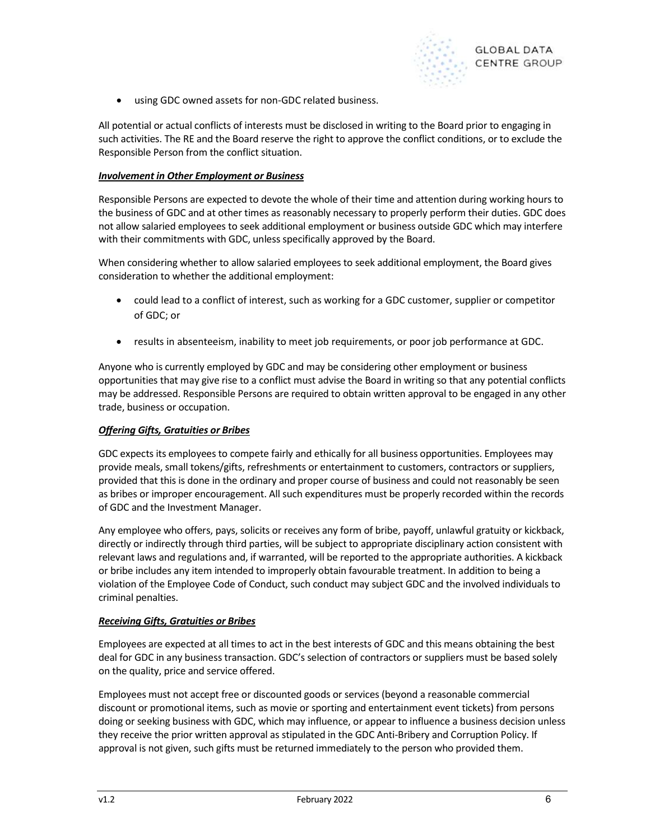

using GDC owned assets for non-GDC related business.

All potential or actual conflicts of interests must be disclosed in writing to the Board prior to engaging in such activities. The RE and the Board reserve the right to approve the conflict conditions, or to exclude the Responsible Person from the conflict situation.

#### Involvement in Other Employment or Business

Responsible Persons are expected to devote the whole of their time and attention during working hours to the business of GDC and at other times as reasonably necessary to properly perform their duties. GDC does not allow salaried employees to seek additional employment or business outside GDC which may interfere with their commitments with GDC, unless specifically approved by the Board.

When considering whether to allow salaried employees to seek additional employment, the Board gives consideration to whether the additional employment:

- could lead to a conflict of interest, such as working for a GDC customer, supplier or competitor of GDC; or
- results in absenteeism, inability to meet job requirements, or poor job performance at GDC.

Anyone who is currently employed by GDC and may be considering other employment or business opportunities that may give rise to a conflict must advise the Board in writing so that any potential conflicts may be addressed. Responsible Persons are required to obtain written approval to be engaged in any other trade, business or occupation.

## Offering Gifts, Gratuities or Bribes

GDC expects its employees to compete fairly and ethically for all business opportunities. Employees may provide meals, small tokens/gifts, refreshments or entertainment to customers, contractors or suppliers, provided that this is done in the ordinary and proper course of business and could not reasonably be seen as bribes or improper encouragement. All such expenditures must be properly recorded within the records of GDC and the Investment Manager.

Any employee who offers, pays, solicits or receives any form of bribe, payoff, unlawful gratuity or kickback, directly or indirectly through third parties, will be subject to appropriate disciplinary action consistent with relevant laws and regulations and, if warranted, will be reported to the appropriate authorities. A kickback or bribe includes any item intended to improperly obtain favourable treatment. In addition to being a violation of the Employee Code of Conduct, such conduct may subject GDC and the involved individuals to criminal penalties.

## Receiving Gifts, Gratuities or Bribes

Employees are expected at all times to act in the best interests of GDC and this means obtaining the best deal for GDC in any business transaction. GDC's selection of contractors or suppliers must be based solely on the quality, price and service offered.

Employees must not accept free or discounted goods or services (beyond a reasonable commercial discount or promotional items, such as movie or sporting and entertainment event tickets) from persons doing or seeking business with GDC, which may influence, or appear to influence a business decision unless they receive the prior written approval as stipulated in the GDC Anti-Bribery and Corruption Policy. If approval is not given, such gifts must be returned immediately to the person who provided them.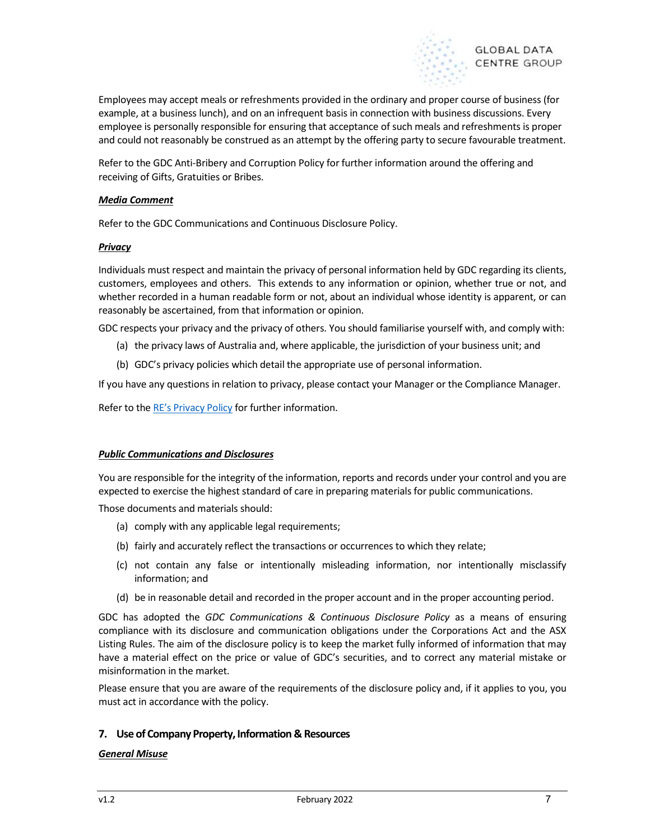

Employees may accept meals or refreshments provided in the ordinary and proper course of business (for example, at a business lunch), and on an infrequent basis in connection with business discussions. Every employee is personally responsible for ensuring that acceptance of such meals and refreshments is proper and could not reasonably be construed as an attempt by the offering party to secure favourable treatment.

Refer to the GDC Anti-Bribery and Corruption Policy for further information around the offering and receiving of Gifts, Gratuities or Bribes.

#### Media Comment

Refer to the GDC Communications and Continuous Disclosure Policy.

#### **Privacy**

Individuals must respect and maintain the privacy of personal information held by GDC regarding its clients, customers, employees and others. This extends to any information or opinion, whether true or not, and whether recorded in a human readable form or not, about an individual whose identity is apparent, or can reasonably be ascertained, from that information or opinion.

GDC respects your privacy and the privacy of others. You should familiarise yourself with, and comply with:

- (a) the privacy laws of Australia and, where applicable, the jurisdiction of your business unit; and
- (b) GDC's privacy policies which detail the appropriate use of personal information.

If you have any questions in relation to privacy, please contact your Manager or the Compliance Manager.

Refer to the RE's Privacy Policy for further information.

#### **Public Communications and Disclosures**

You are responsible for the integrity of the information, reports and records under your control and you are expected to exercise the highest standard of care in preparing materials for public communications.

Those documents and materials should:

- (a) comply with any applicable legal requirements;
- (b) fairly and accurately reflect the transactions or occurrences to which they relate;
- (c) not contain any false or intentionally misleading information, nor intentionally misclassify information; and
- (d) be in reasonable detail and recorded in the proper account and in the proper accounting period.

GDC has adopted the GDC Communications & Continuous Disclosure Policy as a means of ensuring compliance with its disclosure and communication obligations under the Corporations Act and the ASX Listing Rules. The aim of the disclosure policy is to keep the market fully informed of information that may have a material effect on the price or value of GDC's securities, and to correct any material mistake or misinformation in the market.

Please ensure that you are aware of the requirements of the disclosure policy and, if it applies to you, you must act in accordance with the policy.

## 7. Use of Company Property, Information & Resources

#### General Misuse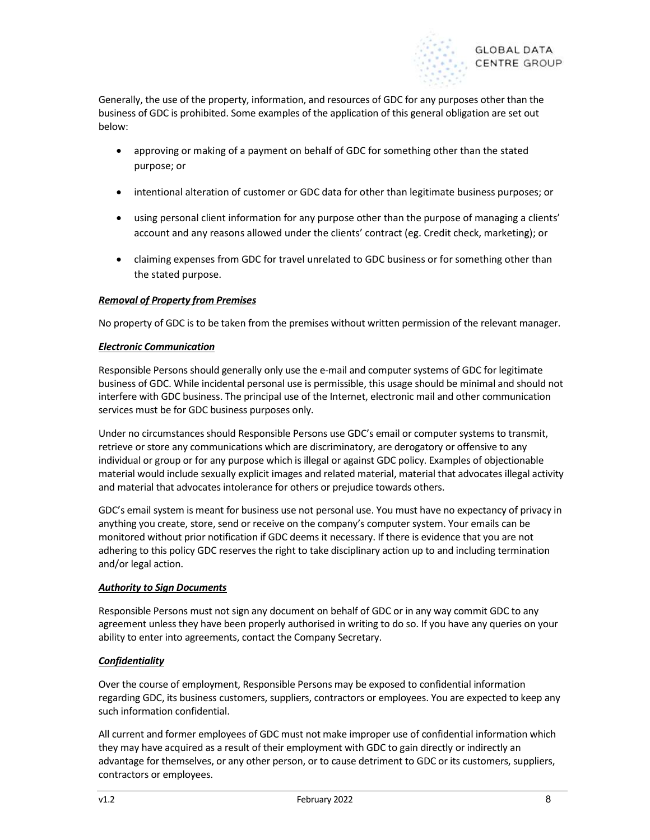

Generally, the use of the property, information, and resources of GDC for any purposes other than the business of GDC is prohibited. Some examples of the application of this general obligation are set out below:

- approving or making of a payment on behalf of GDC for something other than the stated purpose; or
- intentional alteration of customer or GDC data for other than legitimate business purposes; or
- using personal client information for any purpose other than the purpose of managing a clients' account and any reasons allowed under the clients' contract (eg. Credit check, marketing); or
- claiming expenses from GDC for travel unrelated to GDC business or for something other than the stated purpose.

## Removal of Property from Premises

No property of GDC is to be taken from the premises without written permission of the relevant manager.

#### Electronic Communication

Responsible Persons should generally only use the e-mail and computer systems of GDC for legitimate business of GDC. While incidental personal use is permissible, this usage should be minimal and should not interfere with GDC business. The principal use of the Internet, electronic mail and other communication services must be for GDC business purposes only.

Under no circumstances should Responsible Persons use GDC's email or computer systems to transmit, retrieve or store any communications which are discriminatory, are derogatory or offensive to any individual or group or for any purpose which is illegal or against GDC policy. Examples of objectionable material would include sexually explicit images and related material, material that advocates illegal activity and material that advocates intolerance for others or prejudice towards others.

GDC's email system is meant for business use not personal use. You must have no expectancy of privacy in anything you create, store, send or receive on the company's computer system. Your emails can be monitored without prior notification if GDC deems it necessary. If there is evidence that you are not adhering to this policy GDC reserves the right to take disciplinary action up to and including termination and/or legal action.

#### Authority to Sign Documents

Responsible Persons must not sign any document on behalf of GDC or in any way commit GDC to any agreement unless they have been properly authorised in writing to do so. If you have any queries on your ability to enter into agreements, contact the Company Secretary.

## **Confidentiality**

Over the course of employment, Responsible Persons may be exposed to confidential information regarding GDC, its business customers, suppliers, contractors or employees. You are expected to keep any such information confidential.

All current and former employees of GDC must not make improper use of confidential information which they may have acquired as a result of their employment with GDC to gain directly or indirectly an advantage for themselves, or any other person, or to cause detriment to GDC or its customers, suppliers, contractors or employees.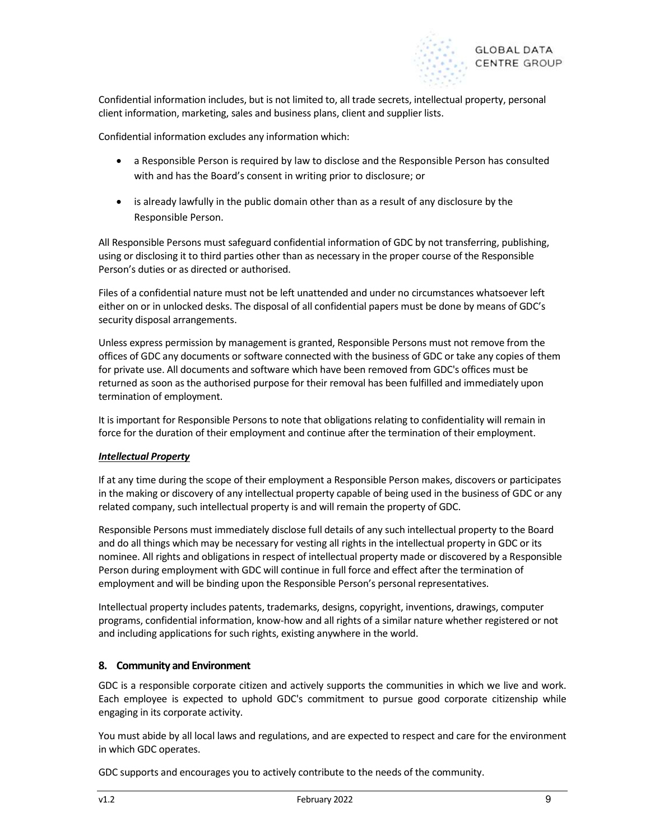

Confidential information includes, but is not limited to, all trade secrets, intellectual property, personal client information, marketing, sales and business plans, client and supplier lists.

Confidential information excludes any information which:

- a Responsible Person is required by law to disclose and the Responsible Person has consulted with and has the Board's consent in writing prior to disclosure; or
- is already lawfully in the public domain other than as a result of any disclosure by the Responsible Person.

All Responsible Persons must safeguard confidential information of GDC by not transferring, publishing, using or disclosing it to third parties other than as necessary in the proper course of the Responsible Person's duties or as directed or authorised.

Files of a confidential nature must not be left unattended and under no circumstances whatsoever left either on or in unlocked desks. The disposal of all confidential papers must be done by means of GDC's security disposal arrangements.

Unless express permission by management is granted, Responsible Persons must not remove from the offices of GDC any documents or software connected with the business of GDC or take any copies of them for private use. All documents and software which have been removed from GDC's offices must be returned as soon as the authorised purpose for their removal has been fulfilled and immediately upon termination of employment.

It is important for Responsible Persons to note that obligations relating to confidentiality will remain in force for the duration of their employment and continue after the termination of their employment.

## Intellectual Property

If at any time during the scope of their employment a Responsible Person makes, discovers or participates in the making or discovery of any intellectual property capable of being used in the business of GDC or any related company, such intellectual property is and will remain the property of GDC.

Responsible Persons must immediately disclose full details of any such intellectual property to the Board and do all things which may be necessary for vesting all rights in the intellectual property in GDC or its nominee. All rights and obligations in respect of intellectual property made or discovered by a Responsible Person during employment with GDC will continue in full force and effect after the termination of employment and will be binding upon the Responsible Person's personal representatives.

Intellectual property includes patents, trademarks, designs, copyright, inventions, drawings, computer programs, confidential information, know-how and all rights of a similar nature whether registered or not and including applications for such rights, existing anywhere in the world.

## 8. Community and Environment

GDC is a responsible corporate citizen and actively supports the communities in which we live and work. Each employee is expected to uphold GDC's commitment to pursue good corporate citizenship while engaging in its corporate activity.

You must abide by all local laws and regulations, and are expected to respect and care for the environment in which GDC operates.

GDC supports and encourages you to actively contribute to the needs of the community.